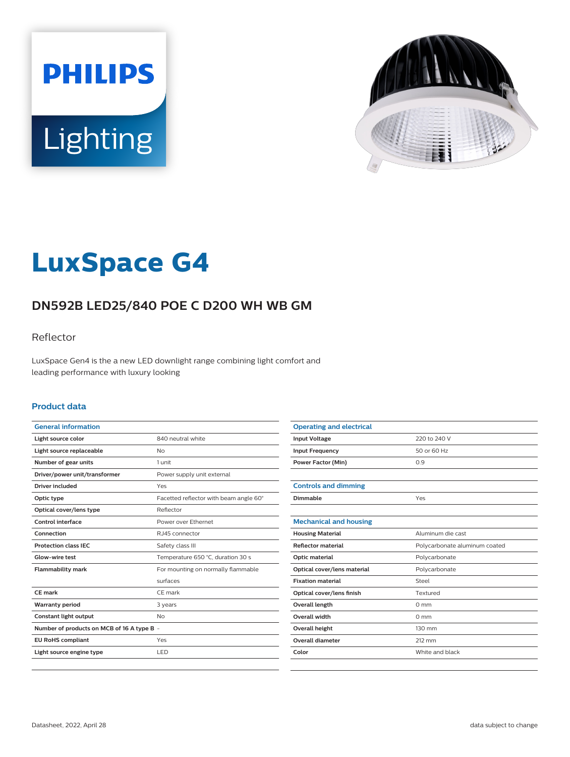



# **LuxSpace G4**

# **DN592B LED25/840 POE C D200 WH WB GM**

### Reflector

LuxSpace Gen4 is the a new LED downlight range combining light comfort and leading performance with luxury looking

#### **Product data**

| <b>General information</b>                 |                                        |
|--------------------------------------------|----------------------------------------|
| Light source color                         | 840 neutral white                      |
| Light source replaceable                   | No                                     |
| Number of gear units                       | 1 unit                                 |
| Driver/power unit/transformer              | Power supply unit external             |
| Driver included                            | Yes                                    |
| Optic type                                 | Facetted reflector with beam angle 60° |
| Optical cover/lens type                    | Reflector                              |
| Control interface                          | Power over Ethernet                    |
| Connection                                 | RJ45 connector                         |
| <b>Protection class IFC</b>                | Safety class III                       |
| Glow-wire test                             | Temperature 650 °C, duration 30 s      |
| <b>Flammability mark</b>                   | For mounting on normally flammable     |
|                                            | surfaces                               |
| <b>CE</b> mark                             | CE mark                                |
| <b>Warranty period</b>                     | 3 years                                |
| Constant light output                      | No                                     |
| Number of products on MCB of 16 A type B - |                                        |
| <b>EU RoHS compliant</b>                   | Yes                                    |
| Light source engine type                   | LED                                    |
|                                            |                                        |

| <b>Operating and electrical</b> |                               |
|---------------------------------|-------------------------------|
| <b>Input Voltage</b>            | 220 to 240 V                  |
| <b>Input Frequency</b>          | 50 or 60 Hz                   |
| <b>Power Factor (Min)</b>       | 0.9                           |
|                                 |                               |
| <b>Controls and dimming</b>     |                               |
| Dimmable                        | Yes                           |
|                                 |                               |
| <b>Mechanical and housing</b>   |                               |
| <b>Housing Material</b>         | Aluminum die cast             |
| Reflector material              | Polycarbonate aluminum coated |
| Optic material                  | Polycarbonate                 |
| Optical cover/lens material     | Polycarbonate                 |
| <b>Fixation material</b>        | Steel                         |
| Optical cover/lens finish       | Textured                      |
| Overall length                  | $0 \text{ mm}$                |
| Overall width                   | $0 \text{ mm}$                |
| <b>Overall height</b>           | 130 mm                        |
| <b>Overall diameter</b>         | 212 mm                        |
| Color                           | White and black               |
|                                 |                               |